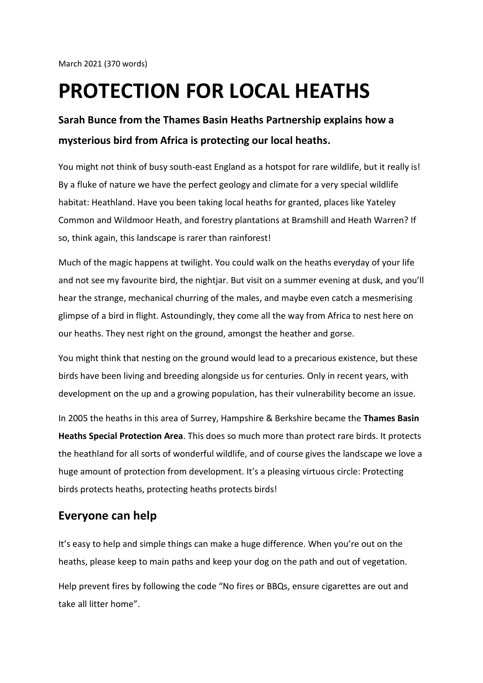## **PROTECTION FOR LOCAL HEATHS**

## **Sarah Bunce from the Thames Basin Heaths Partnership explains how a mysterious bird from Africa is protecting our local heaths.**

You might not think of busy south-east England as a hotspot for rare wildlife, but it really is! By a fluke of nature we have the perfect geology and climate for a very special wildlife habitat: Heathland. Have you been taking local heaths for granted, places like Yateley Common and Wildmoor Heath, and forestry plantations at Bramshill and Heath Warren? If so, think again, this landscape is rarer than rainforest!

Much of the magic happens at twilight. You could walk on the heaths everyday of your life and not see my favourite bird, the nightjar. But visit on a summer evening at dusk, and you'll hear the strange, mechanical churring of the males, and maybe even catch a mesmerising glimpse of a bird in flight. Astoundingly, they come all the way from Africa to nest here on our heaths. They nest right on the ground, amongst the heather and gorse.

You might think that nesting on the ground would lead to a precarious existence, but these birds have been living and breeding alongside us for centuries. Only in recent years, with development on the up and a growing population, has their vulnerability become an issue.

In 2005 the heaths in this area of Surrey, Hampshire & Berkshire became the **Thames Basin Heaths Special Protection Area**. This does so much more than protect rare birds. It protects the heathland for all sorts of wonderful wildlife, and of course gives the landscape we love a huge amount of protection from development. It's a pleasing virtuous circle: Protecting birds protects heaths, protecting heaths protects birds!

## **Everyone can help**

It's easy to help and simple things can make a huge difference. When you're out on the heaths, please keep to main paths and keep your dog on the path and out of vegetation.

Help prevent fires by following the code "No fires or BBQs, ensure cigarettes are out and take all litter home".